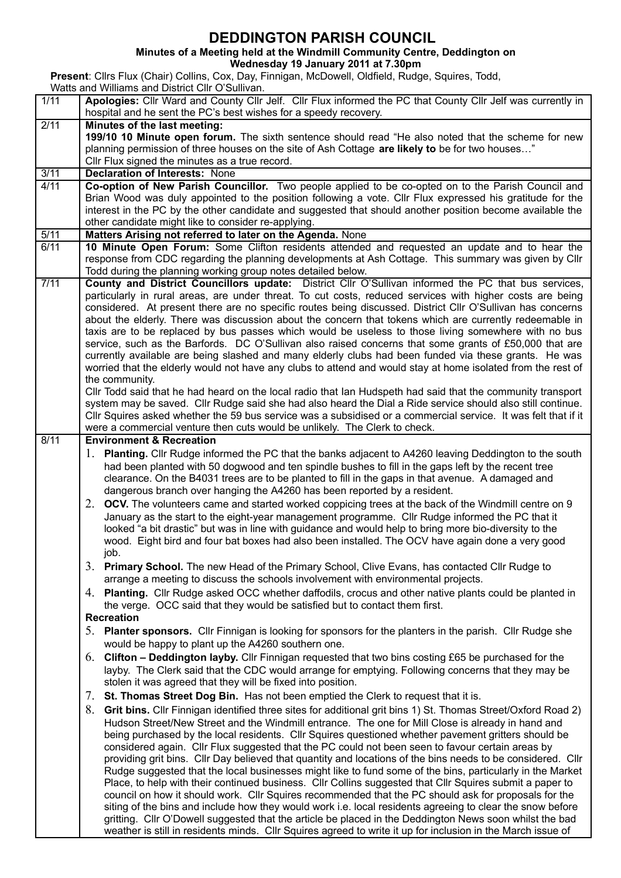## **DEDDINGTON PARISH COUNCIL**

**Minutes of a Meeting held at the Windmill Community Centre, Deddington on**

**Wednesday 19 January 2011 at 7.30pm**

**Present**: Cllrs Flux (Chair) Collins, Cox, Day, Finnigan, McDowell, Oldfield, Rudge, Squires, Todd,

|      | Watts and Williams and District Cllr O'Sullivan.                                                                                                                                                                              |  |  |  |  |  |
|------|-------------------------------------------------------------------------------------------------------------------------------------------------------------------------------------------------------------------------------|--|--|--|--|--|
| 1/11 | Apologies: Cllr Ward and County Cllr Jelf. Cllr Flux informed the PC that County Cllr Jelf was currently in<br>hospital and he sent the PC's best wishes for a speedy recovery.                                               |  |  |  |  |  |
| 2/11 | Minutes of the last meeting:                                                                                                                                                                                                  |  |  |  |  |  |
|      | 199/10 10 Minute open forum. The sixth sentence should read "He also noted that the scheme for new                                                                                                                            |  |  |  |  |  |
|      | planning permission of three houses on the site of Ash Cottage are likely to be for two houses"                                                                                                                               |  |  |  |  |  |
|      | Cllr Flux signed the minutes as a true record.                                                                                                                                                                                |  |  |  |  |  |
| 3/11 | <b>Declaration of Interests: None</b>                                                                                                                                                                                         |  |  |  |  |  |
| 4/11 | Co-option of New Parish Councillor. Two people applied to be co-opted on to the Parish Council and                                                                                                                            |  |  |  |  |  |
|      | Brian Wood was duly appointed to the position following a vote. Cllr Flux expressed his gratitude for the                                                                                                                     |  |  |  |  |  |
|      | interest in the PC by the other candidate and suggested that should another position become available the                                                                                                                     |  |  |  |  |  |
|      | other candidate might like to consider re-applying.                                                                                                                                                                           |  |  |  |  |  |
| 5/11 | Matters Arising not referred to later on the Agenda. None                                                                                                                                                                     |  |  |  |  |  |
| 6/11 | 10 Minute Open Forum: Some Clifton residents attended and requested an update and to hear the                                                                                                                                 |  |  |  |  |  |
|      | response from CDC regarding the planning developments at Ash Cottage. This summary was given by Cllr                                                                                                                          |  |  |  |  |  |
|      | Todd during the planning working group notes detailed below.                                                                                                                                                                  |  |  |  |  |  |
| 7/11 | County and District Councillors update: District Cllr O'Sullivan informed the PC that bus services,                                                                                                                           |  |  |  |  |  |
|      | particularly in rural areas, are under threat. To cut costs, reduced services with higher costs are being                                                                                                                     |  |  |  |  |  |
|      | considered. At present there are no specific routes being discussed. District Cllr O'Sullivan has concerns                                                                                                                    |  |  |  |  |  |
|      | about the elderly. There was discussion about the concern that tokens which are currently redeemable in                                                                                                                       |  |  |  |  |  |
|      | taxis are to be replaced by bus passes which would be useless to those living somewhere with no bus                                                                                                                           |  |  |  |  |  |
|      | service, such as the Barfords. DC O'Sullivan also raised concerns that some grants of £50,000 that are                                                                                                                        |  |  |  |  |  |
|      | currently available are being slashed and many elderly clubs had been funded via these grants. He was                                                                                                                         |  |  |  |  |  |
|      | worried that the elderly would not have any clubs to attend and would stay at home isolated from the rest of                                                                                                                  |  |  |  |  |  |
|      | the community.                                                                                                                                                                                                                |  |  |  |  |  |
|      | CIIr Todd said that he had heard on the local radio that Ian Hudspeth had said that the community transport                                                                                                                   |  |  |  |  |  |
|      | system may be saved. Cllr Rudge said she had also heard the Dial a Ride service should also still continue.<br>CIIr Squires asked whether the 59 bus service was a subsidised or a commercial service. It was felt that if it |  |  |  |  |  |
|      | were a commercial venture then cuts would be unlikely. The Clerk to check.                                                                                                                                                    |  |  |  |  |  |
| 8/11 | <b>Environment &amp; Recreation</b>                                                                                                                                                                                           |  |  |  |  |  |
|      | 1. Planting. Cllr Rudge informed the PC that the banks adjacent to A4260 leaving Deddington to the south                                                                                                                      |  |  |  |  |  |
|      | had been planted with 50 dogwood and ten spindle bushes to fill in the gaps left by the recent tree                                                                                                                           |  |  |  |  |  |
|      | clearance. On the B4031 trees are to be planted to fill in the gaps in that avenue. A damaged and                                                                                                                             |  |  |  |  |  |
|      | dangerous branch over hanging the A4260 has been reported by a resident.                                                                                                                                                      |  |  |  |  |  |
|      | 2. OCV. The volunteers came and started worked coppicing trees at the back of the Windmill centre on 9                                                                                                                        |  |  |  |  |  |
|      | January as the start to the eight-year management programme. Cllr Rudge informed the PC that it                                                                                                                               |  |  |  |  |  |
|      | looked "a bit drastic" but was in line with guidance and would help to bring more bio-diversity to the                                                                                                                        |  |  |  |  |  |
|      | wood. Eight bird and four bat boxes had also been installed. The OCV have again done a very good                                                                                                                              |  |  |  |  |  |
|      | job.                                                                                                                                                                                                                          |  |  |  |  |  |
|      | 3. Primary School. The new Head of the Primary School, Clive Evans, has contacted Cllr Rudge to                                                                                                                               |  |  |  |  |  |
|      | arrange a meeting to discuss the schools involvement with environmental projects.                                                                                                                                             |  |  |  |  |  |
|      |                                                                                                                                                                                                                               |  |  |  |  |  |
|      | 4. Planting. Cllr Rudge asked OCC whether daffodils, crocus and other native plants could be planted in                                                                                                                       |  |  |  |  |  |
|      | the verge. OCC said that they would be satisfied but to contact them first.                                                                                                                                                   |  |  |  |  |  |
|      | <b>Recreation</b>                                                                                                                                                                                                             |  |  |  |  |  |
|      | 5. Planter sponsors. Cllr Finnigan is looking for sponsors for the planters in the parish. Cllr Rudge she                                                                                                                     |  |  |  |  |  |
|      | would be happy to plant up the A4260 southern one.                                                                                                                                                                            |  |  |  |  |  |
|      | 6. Clifton – Deddington layby. Cllr Finnigan requested that two bins costing £65 be purchased for the                                                                                                                         |  |  |  |  |  |
|      | layby. The Clerk said that the CDC would arrange for emptying. Following concerns that they may be                                                                                                                            |  |  |  |  |  |
|      | stolen it was agreed that they will be fixed into position.                                                                                                                                                                   |  |  |  |  |  |
|      | 7. St. Thomas Street Dog Bin. Has not been emptied the Clerk to request that it is.                                                                                                                                           |  |  |  |  |  |
|      | 8. Grit bins. Cllr Finnigan identified three sites for additional grit bins 1) St. Thomas Street/Oxford Road 2)                                                                                                               |  |  |  |  |  |
|      | Hudson Street/New Street and the Windmill entrance. The one for Mill Close is already in hand and                                                                                                                             |  |  |  |  |  |
|      | being purchased by the local residents. Cllr Squires questioned whether pavement gritters should be                                                                                                                           |  |  |  |  |  |
|      | considered again. Cllr Flux suggested that the PC could not been seen to favour certain areas by                                                                                                                              |  |  |  |  |  |
|      | providing grit bins. Cllr Day believed that quantity and locations of the bins needs to be considered. Cllr                                                                                                                   |  |  |  |  |  |
|      | Rudge suggested that the local businesses might like to fund some of the bins, particularly in the Market                                                                                                                     |  |  |  |  |  |
|      | Place, to help with their continued business. Cllr Collins suggested that Cllr Squires submit a paper to                                                                                                                      |  |  |  |  |  |
|      | council on how it should work. Cllr Squires recommended that the PC should ask for proposals for the                                                                                                                          |  |  |  |  |  |
|      | siting of the bins and include how they would work i.e. local residents agreeing to clear the snow before                                                                                                                     |  |  |  |  |  |
|      | gritting. Cllr O'Dowell suggested that the article be placed in the Deddington News soon whilst the bad                                                                                                                       |  |  |  |  |  |
|      | weather is still in residents minds. Cllr Squires agreed to write it up for inclusion in the March issue of                                                                                                                   |  |  |  |  |  |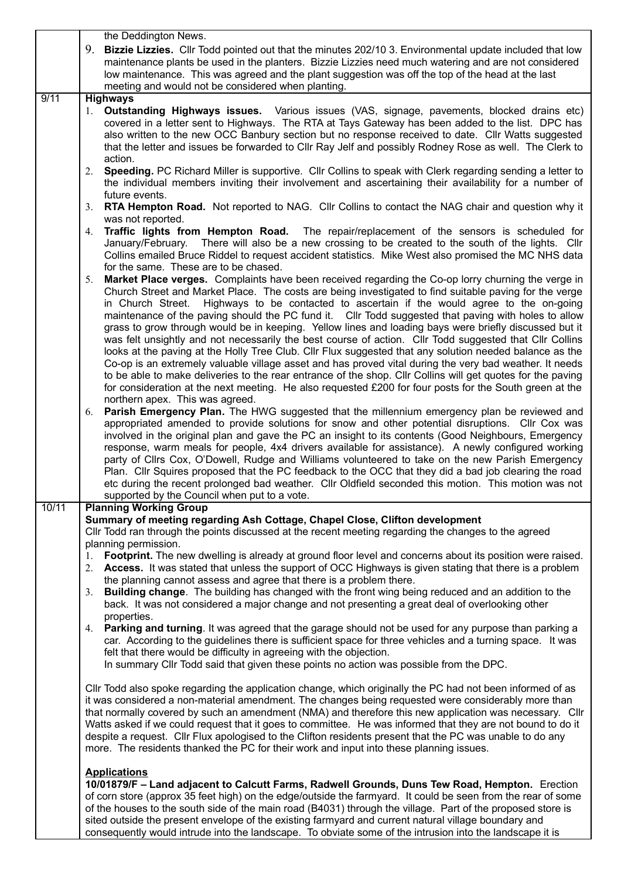|       | the Deddington News.                                                                                                                                                         |  |  |  |  |
|-------|------------------------------------------------------------------------------------------------------------------------------------------------------------------------------|--|--|--|--|
|       | 9. Bizzie Lizzies. Cllr Todd pointed out that the minutes 202/10 3. Environmental update included that low                                                                   |  |  |  |  |
|       | maintenance plants be used in the planters. Bizzie Lizzies need much watering and are not considered                                                                         |  |  |  |  |
|       | low maintenance. This was agreed and the plant suggestion was off the top of the head at the last                                                                            |  |  |  |  |
|       | meeting and would not be considered when planting.                                                                                                                           |  |  |  |  |
| 9/11  | <b>Highways</b>                                                                                                                                                              |  |  |  |  |
|       | 1. Outstanding Highways issues. Various issues (VAS, signage, pavements, blocked drains etc)                                                                                 |  |  |  |  |
|       | covered in a letter sent to Highways. The RTA at Tays Gateway has been added to the list. DPC has                                                                            |  |  |  |  |
|       | also written to the new OCC Banbury section but no response received to date. Cllr Watts suggested                                                                           |  |  |  |  |
|       | that the letter and issues be forwarded to Cllr Ray Jelf and possibly Rodney Rose as well. The Clerk to                                                                      |  |  |  |  |
|       | action.                                                                                                                                                                      |  |  |  |  |
|       | Speeding. PC Richard Miller is supportive. Cllr Collins to speak with Clerk regarding sending a letter to<br>2.                                                              |  |  |  |  |
|       | the individual members inviting their involvement and ascertaining their availability for a number of                                                                        |  |  |  |  |
|       | future events.<br><b>RTA Hempton Road.</b> Not reported to NAG. Cllr Collins to contact the NAG chair and question why it<br>3.                                              |  |  |  |  |
|       | was not reported.                                                                                                                                                            |  |  |  |  |
|       | Traffic lights from Hempton Road. The repair/replacement of the sensors is scheduled for<br>4.                                                                               |  |  |  |  |
|       | January/February. There will also be a new crossing to be created to the south of the lights. Cllr                                                                           |  |  |  |  |
|       | Collins emailed Bruce Riddel to request accident statistics. Mike West also promised the MC NHS data                                                                         |  |  |  |  |
|       | for the same. These are to be chased.                                                                                                                                        |  |  |  |  |
|       | Market Place verges. Complaints have been received regarding the Co-op lorry churning the verge in<br>5.                                                                     |  |  |  |  |
|       | Church Street and Market Place. The costs are being investigated to find suitable paving for the verge                                                                       |  |  |  |  |
|       | Highways to be contacted to ascertain if the would agree to the on-going<br>in Church Street.                                                                                |  |  |  |  |
|       | maintenance of the paving should the PC fund it. Cllr Todd suggested that paving with holes to allow                                                                         |  |  |  |  |
|       | grass to grow through would be in keeping. Yellow lines and loading bays were briefly discussed but it                                                                       |  |  |  |  |
|       | was felt unsightly and not necessarily the best course of action. Cllr Todd suggested that Cllr Collins                                                                      |  |  |  |  |
|       | looks at the paving at the Holly Tree Club. Cllr Flux suggested that any solution needed balance as the                                                                      |  |  |  |  |
|       | Co-op is an extremely valuable village asset and has proved vital during the very bad weather. It needs                                                                      |  |  |  |  |
|       | to be able to make deliveries to the rear entrance of the shop. Cllr Collins will get quotes for the paving                                                                  |  |  |  |  |
|       | for consideration at the next meeting. He also requested £200 for four posts for the South green at the                                                                      |  |  |  |  |
|       | northern apex. This was agreed.<br>6. Parish Emergency Plan. The HWG suggested that the millennium emergency plan be reviewed and                                            |  |  |  |  |
|       | appropriated amended to provide solutions for snow and other potential disruptions. Cllr Cox was                                                                             |  |  |  |  |
|       | involved in the original plan and gave the PC an insight to its contents (Good Neighbours, Emergency                                                                         |  |  |  |  |
|       | response, warm meals for people, 4x4 drivers available for assistance). A newly configured working                                                                           |  |  |  |  |
|       | party of Clirs Cox, O'Dowell, Rudge and Williams volunteered to take on the new Parish Emergency                                                                             |  |  |  |  |
|       | Plan. Cllr Squires proposed that the PC feedback to the OCC that they did a bad job clearing the road                                                                        |  |  |  |  |
|       | etc during the recent prolonged bad weather. Cllr Oldfield seconded this motion. This motion was not                                                                         |  |  |  |  |
|       | supported by the Council when put to a vote.                                                                                                                                 |  |  |  |  |
| 10/11 | <b>Planning Working Group</b>                                                                                                                                                |  |  |  |  |
|       | Summary of meeting regarding Ash Cottage, Chapel Close, Clifton development                                                                                                  |  |  |  |  |
|       | CIIr Todd ran through the points discussed at the recent meeting regarding the changes to the agreed                                                                         |  |  |  |  |
|       | planning permission.                                                                                                                                                         |  |  |  |  |
|       | Footprint. The new dwelling is already at ground floor level and concerns about its position were raised.<br>1.                                                              |  |  |  |  |
|       | 2. Access. It was stated that unless the support of OCC Highways is given stating that there is a problem                                                                    |  |  |  |  |
|       | the planning cannot assess and agree that there is a problem there.<br>3. Building change. The building has changed with the front wing being reduced and an addition to the |  |  |  |  |
|       | back. It was not considered a major change and not presenting a great deal of overlooking other                                                                              |  |  |  |  |
|       | properties.                                                                                                                                                                  |  |  |  |  |
|       | 4. Parking and turning. It was agreed that the garage should not be used for any purpose than parking a                                                                      |  |  |  |  |
|       | car. According to the guidelines there is sufficient space for three vehicles and a turning space. It was                                                                    |  |  |  |  |
|       | felt that there would be difficulty in agreeing with the objection.                                                                                                          |  |  |  |  |
|       | In summary Cllr Todd said that given these points no action was possible from the DPC.                                                                                       |  |  |  |  |
|       |                                                                                                                                                                              |  |  |  |  |
|       | CIIr Todd also spoke regarding the application change, which originally the PC had not been informed of as                                                                   |  |  |  |  |
|       | it was considered a non-material amendment. The changes being requested were considerably more than                                                                          |  |  |  |  |
|       | that normally covered by such an amendment (NMA) and therefore this new application was necessary. Cllr                                                                      |  |  |  |  |
|       | Watts asked if we could request that it goes to committee. He was informed that they are not bound to do it                                                                  |  |  |  |  |
|       | despite a request. Cllr Flux apologised to the Clifton residents present that the PC was unable to do any                                                                    |  |  |  |  |
|       | more. The residents thanked the PC for their work and input into these planning issues.                                                                                      |  |  |  |  |
|       | <b>Applications</b>                                                                                                                                                          |  |  |  |  |
|       | 10/01879/F - Land adjacent to Calcutt Farms, Radwell Grounds, Duns Tew Road, Hempton. Erection                                                                               |  |  |  |  |
|       | of corn store (approx 35 feet high) on the edge/outside the farmyard. It could be seen from the rear of some                                                                 |  |  |  |  |
|       | of the houses to the south side of the main road (B4031) through the village. Part of the proposed store is                                                                  |  |  |  |  |
|       | sited outside the present envelope of the existing farmyard and current natural village boundary and                                                                         |  |  |  |  |
|       | consequently would intrude into the landscape. To obviate some of the intrusion into the landscape it is                                                                     |  |  |  |  |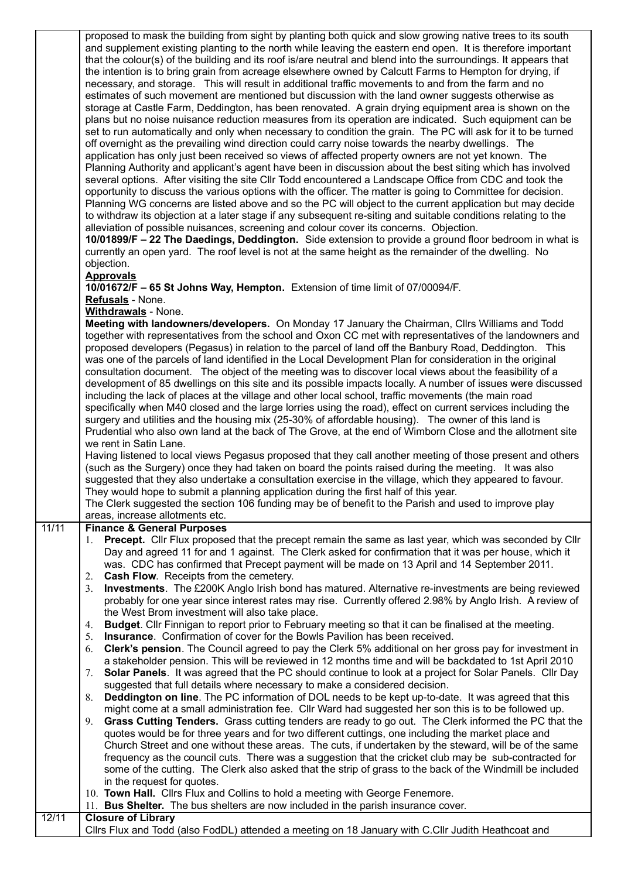|       | proposed to mask the building from sight by planting both quick and slow growing native trees to its south<br>and supplement existing planting to the north while leaving the eastern end open. It is therefore important<br>that the colour(s) of the building and its roof is/are neutral and blend into the surroundings. It appears that<br>the intention is to bring grain from acreage elsewhere owned by Calcutt Farms to Hempton for drying, if<br>necessary, and storage. This will result in additional traffic movements to and from the farm and no<br>estimates of such movement are mentioned but discussion with the land owner suggests otherwise as<br>storage at Castle Farm, Deddington, has been renovated. A grain drying equipment area is shown on the<br>plans but no noise nuisance reduction measures from its operation are indicated. Such equipment can be<br>set to run automatically and only when necessary to condition the grain. The PC will ask for it to be turned<br>off overnight as the prevailing wind direction could carry noise towards the nearby dwellings. The<br>application has only just been received so views of affected property owners are not yet known. The<br>Planning Authority and applicant's agent have been in discussion about the best siting which has involved<br>several options. After visiting the site Cllr Todd encountered a Landscape Office from CDC and took the<br>opportunity to discuss the various options with the officer. The matter is going to Committee for decision.<br>Planning WG concerns are listed above and so the PC will object to the current application but may decide<br>to withdraw its objection at a later stage if any subsequent re-siting and suitable conditions relating to the<br>alleviation of possible nuisances, screening and colour cover its concerns. Objection.<br>10/01899/F - 22 The Daedings, Deddington. Side extension to provide a ground floor bedroom in what is<br>currently an open yard. The roof level is not at the same height as the remainder of the dwelling. No<br>objection.<br><b>Approvals</b><br>10/01672/F - 65 St Johns Way, Hempton. Extension of time limit of 07/00094/F.<br>Refusals - None.<br>Withdrawals - None.<br>Meeting with landowners/developers. On Monday 17 January the Chairman, Cllrs Williams and Todd<br>together with representatives from the school and Oxon CC met with representatives of the landowners and |
|-------|------------------------------------------------------------------------------------------------------------------------------------------------------------------------------------------------------------------------------------------------------------------------------------------------------------------------------------------------------------------------------------------------------------------------------------------------------------------------------------------------------------------------------------------------------------------------------------------------------------------------------------------------------------------------------------------------------------------------------------------------------------------------------------------------------------------------------------------------------------------------------------------------------------------------------------------------------------------------------------------------------------------------------------------------------------------------------------------------------------------------------------------------------------------------------------------------------------------------------------------------------------------------------------------------------------------------------------------------------------------------------------------------------------------------------------------------------------------------------------------------------------------------------------------------------------------------------------------------------------------------------------------------------------------------------------------------------------------------------------------------------------------------------------------------------------------------------------------------------------------------------------------------------------------------------------------------------------------------------------------------------------------------------------------------------------------------------------------------------------------------------------------------------------------------------------------------------------------------------------------------------------------------------------------------------------------------------------------------------------------------------------------------------------------------------------------------------------------------------------|
|       | proposed developers (Pegasus) in relation to the parcel of land off the Banbury Road, Deddington. This<br>was one of the parcels of land identified in the Local Development Plan for consideration in the original<br>consultation document. The object of the meeting was to discover local views about the feasibility of a<br>development of 85 dwellings on this site and its possible impacts locally. A number of issues were discussed<br>including the lack of places at the village and other local school, traffic movements (the main road<br>specifically when M40 closed and the large lorries using the road), effect on current services including the<br>surgery and utilities and the housing mix (25-30% of affordable housing). The owner of this land is<br>Prudential who also own land at the back of The Grove, at the end of Wimborn Close and the allotment site<br>we rent in Satin Lane.<br>Having listened to local views Pegasus proposed that they call another meeting of those present and others<br>(such as the Surgery) once they had taken on board the points raised during the meeting. It was also<br>suggested that they also undertake a consultation exercise in the village, which they appeared to favour.                                                                                                                                                                                                                                                                                                                                                                                                                                                                                                                                                                                                                                                                                                                                                                                                                                                                                                                                                                                                                                                                                                                                                                                                                            |
|       | They would hope to submit a planning application during the first half of this year.<br>The Clerk suggested the section 106 funding may be of benefit to the Parish and used to improve play<br>areas, increase allotments etc.                                                                                                                                                                                                                                                                                                                                                                                                                                                                                                                                                                                                                                                                                                                                                                                                                                                                                                                                                                                                                                                                                                                                                                                                                                                                                                                                                                                                                                                                                                                                                                                                                                                                                                                                                                                                                                                                                                                                                                                                                                                                                                                                                                                                                                                    |
| 11/11 | <b>Finance &amp; General Purposes</b>                                                                                                                                                                                                                                                                                                                                                                                                                                                                                                                                                                                                                                                                                                                                                                                                                                                                                                                                                                                                                                                                                                                                                                                                                                                                                                                                                                                                                                                                                                                                                                                                                                                                                                                                                                                                                                                                                                                                                                                                                                                                                                                                                                                                                                                                                                                                                                                                                                              |
|       | Precept. Cllr Flux proposed that the precept remain the same as last year, which was seconded by Cllr<br>1.<br>Day and agreed 11 for and 1 against. The Clerk asked for confirmation that it was per house, which it<br>was. CDC has confirmed that Precept payment will be made on 13 April and 14 September 2011.<br>Cash Flow. Receipts from the cemetery.<br>2.<br>Investments. The £200K Anglo Irish bond has matured. Alternative re-investments are being reviewed<br>3.<br>probably for one year since interest rates may rise. Currently offered 2.98% by Anglo Irish. A review of<br>the West Brom investment will also take place.                                                                                                                                                                                                                                                                                                                                                                                                                                                                                                                                                                                                                                                                                                                                                                                                                                                                                                                                                                                                                                                                                                                                                                                                                                                                                                                                                                                                                                                                                                                                                                                                                                                                                                                                                                                                                                      |
|       | Budget. Cllr Finnigan to report prior to February meeting so that it can be finalised at the meeting.<br>4.<br>Insurance. Confirmation of cover for the Bowls Pavilion has been received.<br>5.<br>Clerk's pension. The Council agreed to pay the Clerk 5% additional on her gross pay for investment in<br>6.<br>a stakeholder pension. This will be reviewed in 12 months time and will be backdated to 1st April 2010<br>Solar Panels. It was agreed that the PC should continue to look at a project for Solar Panels. Clir Day<br>7.<br>suggested that full details where necessary to make a considered decision.<br>Deddington on line. The PC information of DOL needs to be kept up-to-date. It was agreed that this<br>8.                                                                                                                                                                                                                                                                                                                                                                                                                                                                                                                                                                                                                                                                                                                                                                                                                                                                                                                                                                                                                                                                                                                                                                                                                                                                                                                                                                                                                                                                                                                                                                                                                                                                                                                                                |
|       | might come at a small administration fee. Cllr Ward had suggested her son this is to be followed up.<br>Grass Cutting Tenders. Grass cutting tenders are ready to go out. The Clerk informed the PC that the<br>9.<br>quotes would be for three years and for two different cuttings, one including the market place and<br>Church Street and one without these areas. The cuts, if undertaken by the steward, will be of the same<br>frequency as the council cuts. There was a suggestion that the cricket club may be sub-contracted for<br>some of the cutting. The Clerk also asked that the strip of grass to the back of the Windmill be included<br>in the request for quotes.                                                                                                                                                                                                                                                                                                                                                                                                                                                                                                                                                                                                                                                                                                                                                                                                                                                                                                                                                                                                                                                                                                                                                                                                                                                                                                                                                                                                                                                                                                                                                                                                                                                                                                                                                                                             |
| 12/11 | 10. Town Hall. Clirs Flux and Collins to hold a meeting with George Fenemore.<br>11. Bus Shelter. The bus shelters are now included in the parish insurance cover.<br><b>Closure of Library</b>                                                                                                                                                                                                                                                                                                                                                                                                                                                                                                                                                                                                                                                                                                                                                                                                                                                                                                                                                                                                                                                                                                                                                                                                                                                                                                                                                                                                                                                                                                                                                                                                                                                                                                                                                                                                                                                                                                                                                                                                                                                                                                                                                                                                                                                                                    |
|       | Cllrs Flux and Todd (also FodDL) attended a meeting on 18 January with C.Cllr Judith Heathcoat and                                                                                                                                                                                                                                                                                                                                                                                                                                                                                                                                                                                                                                                                                                                                                                                                                                                                                                                                                                                                                                                                                                                                                                                                                                                                                                                                                                                                                                                                                                                                                                                                                                                                                                                                                                                                                                                                                                                                                                                                                                                                                                                                                                                                                                                                                                                                                                                 |